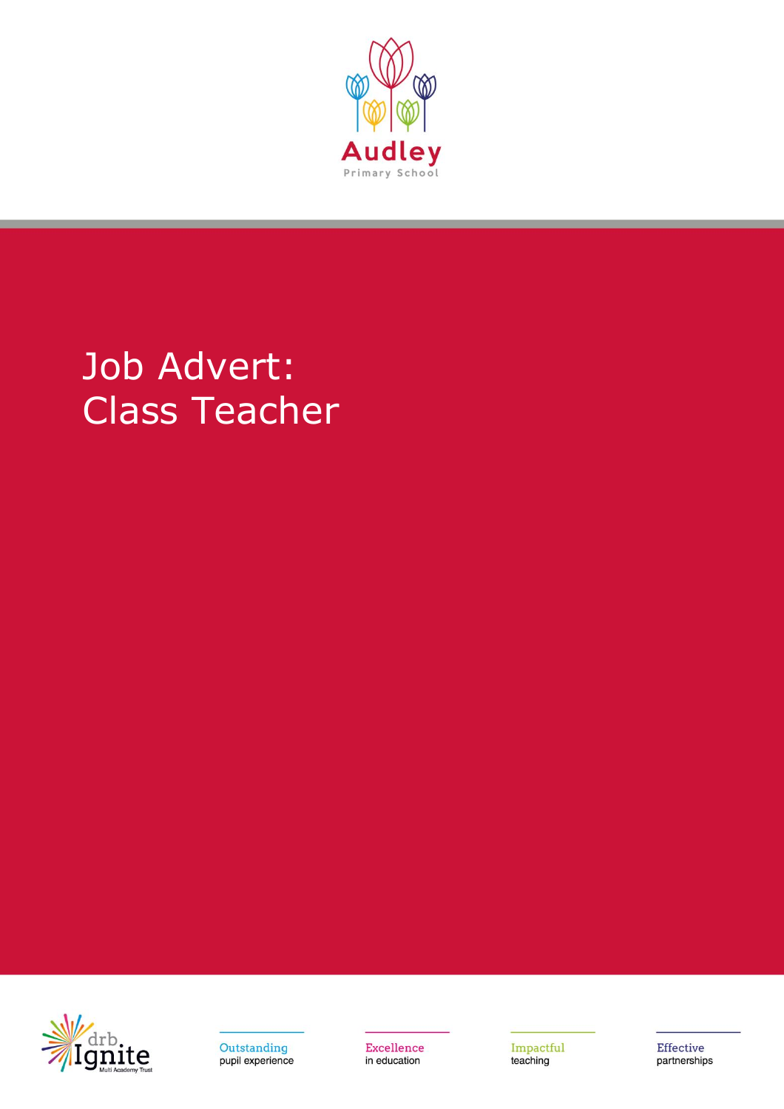

## Job Advert: Class Teacher





Excellence in education

Impactful teaching

Effective partnerships